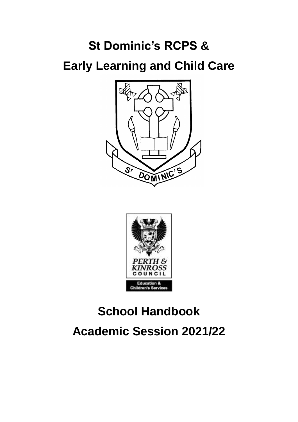# **St Dominic's RCPS & Early Learning and Child Care**





# **School Handbook Academic Session 2021/22**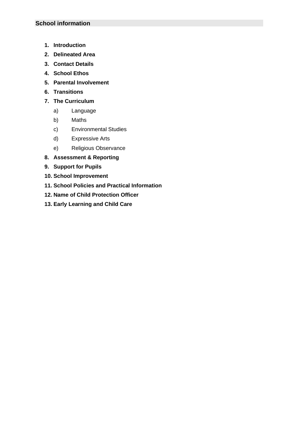- **1. Introduction**
- **2. Delineated Area**
- **3. Contact Details**
- **4. School Ethos**
- **5. Parental Involvement**
- **6. Transitions**
- **7. The Curriculum**
	- a) Language
	- b) Maths
	- c) Environmental Studies
	- d) Expressive Arts
	- e) Religious Observance
- **8. Assessment & Reporting**
- **9. Support for Pupils**
- **10. School Improvement**
- **11. School Policies and Practical Information**
- **12. Name of Child Protection Officer**
- **13. Early Learning and Child Care**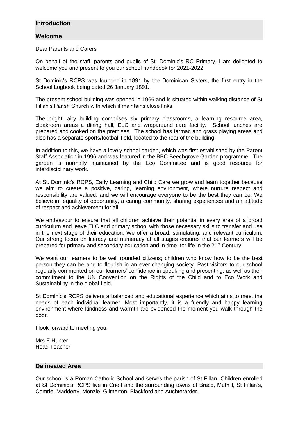## **Introduction**

## **Welcome**

Dear Parents and Carers

On behalf of the staff, parents and pupils of St. Dominic's RC Primary, I am delighted to welcome you and present to you our school handbook for 2021-2022.

St Dominic's RCPS was founded in 1891 by the Dominican Sisters, the first entry in the School Logbook being dated 26 January 1891.

The present school building was opened in 1966 and is situated within walking distance of St Fillan's Parish Church with which it maintains close links.

The bright, airy building comprises six primary classrooms, a learning resource area, cloakroom areas a dining hall, ELC and wraparound care facility. School lunches are prepared and cooked on the premises. The school has tarmac and grass playing areas and also has a separate sports/football field, located to the rear of the building.

In addition to this, we have a lovely school garden, which was first established by the Parent Staff Association in 1996 and was featured in the BBC Beechgrove Garden programme. The garden is normally maintained by the Eco Committee and is good resource for interdisciplinary work.

At St. Dominic's RCPS, Early Learning and Child Care we grow and learn together because we aim to create a positive, caring, learning environment, where nurture respect and responsibility are valued, and we will encourage everyone to be the best they can be. We believe in; equality of opportunity, a caring community, sharing experiences and an attitude of respect and achievement for all.

We endeavour to ensure that all children achieve their potential in every area of a broad curriculum and leave ELC and primary school with those necessary skills to transfer and use in the next stage of their education. We offer a broad, stimulating, and relevant curriculum. Our strong focus on literacy and numeracy at all stages ensures that our learners will be prepared for primary and secondary education and in time, for life in the 21<sup>st</sup> Century.

We want our learners to be well rounded citizens; children who know how to be the best person they can be and to flourish in an ever-changing society. Past visitors to our school regularly commented on our learners' confidence in speaking and presenting, as well as their commitment to the UN Convention on the Rights of the Child and to Eco Work and Sustainability in the global field.

St Dominic's RCPS delivers a balanced and educational experience which aims to meet the needs of each individual learner. Most importantly, it is a friendly and happy learning environment where kindness and warmth are evidenced the moment you walk through the door.

I look forward to meeting you.

Mrs E Hunter Head Teacher

#### **Delineated Area**

Our school is a Roman Catholic School and serves the parish of St Fillan. Children enrolled at St Dominic's RCPS live in Crieff and the surrounding towns of Braco, Muthill, St Fillan's, Comrie, Madderty, Monzie, Gilmerton, Blackford and Auchterarder.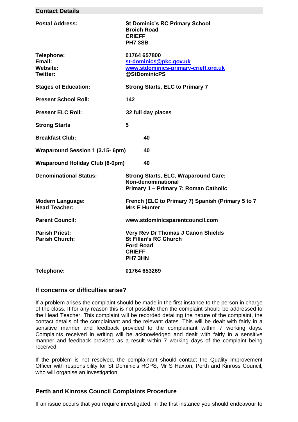| Contact Details                                     |                                                                                                                           |  |
|-----------------------------------------------------|---------------------------------------------------------------------------------------------------------------------------|--|
| <b>Postal Address:</b>                              | <b>St Dominic's RC Primary School</b><br><b>Broich Road</b><br><b>CRIEFF</b><br><b>PH7 3SB</b>                            |  |
| Telephone:<br>Email:<br>Website:<br><b>Twitter:</b> | 01764 657800<br>st-dominics@pkc.gov.uk<br>www.stdominics-primary-crieff.org.uk<br>@StDominicPS                            |  |
| <b>Stages of Education:</b>                         | <b>Strong Starts, ELC to Primary 7</b>                                                                                    |  |
| <b>Present School Roll:</b>                         | 142                                                                                                                       |  |
| <b>Present ELC Roll:</b>                            | 32 full day places                                                                                                        |  |
| <b>Strong Starts</b>                                | 5                                                                                                                         |  |
| <b>Breakfast Club:</b>                              | 40                                                                                                                        |  |
| Wraparound Session 1 (3.15-6pm)                     | 40                                                                                                                        |  |
| <b>Wraparound Holiday Club (8-6pm)</b><br>40        |                                                                                                                           |  |
| <b>Denominational Status:</b>                       | <b>Strong Starts, ELC, Wraparound Care:</b><br>Non-denominational<br>Primary 1 - Primary 7: Roman Catholic                |  |
| <b>Modern Language:</b><br><b>Head Teacher:</b>     | French (ELC to Primary 7) Spanish (Primary 5 to 7<br><b>Mrs E Hunter</b>                                                  |  |
| <b>Parent Council:</b>                              | www.stdominicsparentcouncil.com                                                                                           |  |
| <b>Parish Priest:</b><br><b>Parish Church:</b>      | <b>Very Rev Dr Thomas J Canon Shields</b><br><b>St Fillan's RC Church</b><br><b>Ford Road</b><br><b>CRIEFF</b><br>PH7 3HN |  |
| Telephone:                                          | 01764 653269                                                                                                              |  |

#### **If concerns or difficulties arise?**

**Contact Details**

If a problem arises the complaint should be made in the first instance to the person in charge of the class. If for any reason this is not possible then the complaint should be addressed to the Head Teacher. This complaint will be recorded detailing the nature of the complaint, the contact details of the complainant and the relevant dates. This will be dealt with fairly in a sensitive manner and feedback provided to the complainant within 7 working days. Complaints received in writing will be acknowledged and dealt with fairly in a sensitive manner and feedback provided as a result within 7 working days of the complaint being received.

If the problem is not resolved, the complainant should contact the Quality Improvement Officer with responsibility for St Dominic's RCPS, Mr S Haxton, Perth and Kinross Council, who will organise an investigation.

#### **Perth and Kinross Council Complaints Procedure**

If an issue occurs that you require investigated, in the first instance you should endeavour to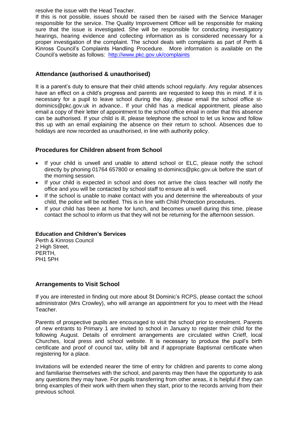resolve the issue with the Head Teacher.

If this is not possible, issues should be raised then be raised with the Service Manager responsible for the service. The Quality Improvement Officer will be responsible for making sure that the issue is investigated. She will be responsible for conducting investigatory hearings, hearing evidence and collecting information as is considered necessary for a proper investigation of the complaint. The school deals with complaints as part of Perth & Kinross Council's Complaints Handling Procedure. More information is available on the Council's website as follows: <http://www.pkc.gov.uk/complaints>

# **Attendance (authorised & unauthorised)**

It is a parent's duty to ensure that their child attends school regularly. Any regular absences have an effect on a child's progress and parents are requested to keep this in mind. If it is necessary for a pupil to leave school during the day, please email the school office stdominics@pkc.gov.uk in advance.. If your child has a medical appointment, please also email a copy of their letter of appointment to the school office email in order that this absence can be authorised. If your child is ill, please telephone the school to let us know and follow this up with an email explaining the absence on their return to school. Absences due to holidays are now recorded as unauthorised, in line with authority policy.

## **Procedures for Children absent from School**

- If your child is unwell and unable to attend school or ELC, please notify the school directly by phoning 01764 657800 or emailing st-dominics@pkc.gov.uk before the start of the morning session.
- If your child is expected in school and does not arrive the class teacher will notify the office and you will be contacted by school staff to ensure all is well.
- If the school is unable to make contact with you and determine the whereabouts of your child, the police will be notified. This is in line with Child Protection procedures.
- If your child has been at home for lunch, and becomes unwell during this time, please contact the school to inform us that they will not be returning for the afternoon session.

#### **Education and Children's Services**

Perth & Kinross Council 2 High Street, PERTH, PH1 5PH

## **Arrangements to Visit School**

If you are interested in finding out more about St Dominic's RCPS, please contact the school administrator (Mrs Crowley), who will arrange an appointment for you to meet with the Head Teacher.

Parents of prospective pupils are encouraged to visit the school prior to enrolment. Parents of new entrants to Primary 1 are invited to school in January to register their child for the following August. Details of enrolment arrangements are circulated within Crieff, local Churches, local press and school website. It is necessary to produce the pupil's birth certificate and proof of council tax, utility bill and if appropriate Baptismal certificate when registering for a place.

Invitations will be extended nearer the time of entry for children and parents to come along and familiarise themselves with the school, and parents may then have the opportunity to ask any questions they may have. For pupils transferring from other areas, it is helpful if they can bring examples of their work with them when they start, prior to the records arriving from their previous school.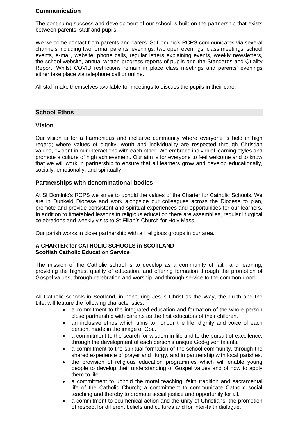# **Communication**

The continuing success and development of our school is built on the partnership that exists between parents, staff and pupils.

We welcome contact from parents and carers. St Dominic's RCPS communicates via several channels including two formal parents' evenings, two open evenings, class meetings, school events, e-mail, website, phone calls, regular letters explaining events, weekly newsletters, the school website, annual written progress reports of pupils and the Standards and Quality Report. Whilst COVID restrictions remain in place class meetings and parents' evenings either take place via telephone call or online.

All staff make themselves available for meetings to discuss the pupils in their care.

## **School Ethos**

## **Vision**

Our vision is for a harmonious and inclusive community where everyone is held in high regard; where values of dignity, worth and individuality are respected through Christian values, evident in our interactions with each other. We embrace individual learning styles and promote a culture of high achievement. Our aim is for everyone to feel welcome and to know that we will work in partnership to ensure that all learners grow and develop educationally, socially, emotionally, and spiritually.

## **Partnerships with denominational bodies**

At St Dominic's RCPS we strive to uphold the values of the Charter for Catholic Schools. We are in Dunkeld Diocese and work alongside our colleagues across the Diocese to plan, promote and provide consistent and spiritual experiences and opportunities for our learners. In addition to timetabled lessons in religious education there are assemblies, regular liturgical celebrations and weekly visits to St Fillan's Church for Holy Mass.

Our parish works in close partnership with all religious groups in our area.

#### **A CHARTER for CATHOLIC SCHOOLS in SCOTLAND Scottish Catholic Education Service**

The mission of the Catholic school is to develop as a community of faith and learning, providing the highest quality of education, and offering formation through the promotion of Gospel values, through celebration and worship, and through service to the common good.

All Catholic schools in Scotland, in honouring Jesus Christ as the Way, the Truth and the Life, will feature the following characteristics:

- a commitment to the integrated education and formation of the whole person close partnership with parents as the first educators of their children.
- an inclusive ethos which aims to honour the life, dignity and voice of each person, made in the image of God.
- a commitment to the search for wisdom in life and to the pursuit of excellence, through the development of each person's unique God-given talents.
- a commitment to the spiritual formation of the school community, through the shared experience of prayer and liturgy, and in partnership with local parishes.
- the provision of religious education programmes which will enable young people to develop their understanding of Gospel values and of how to apply them to life.
- a commitment to uphold the moral teaching, faith tradition and sacramental life of the Catholic Church; a commitment to communicate Catholic social teaching and thereby to promote social justice and opportunity for all.
- a commitment to ecumenical action and the unity of Christians; the promotion of respect for different beliefs and cultures and for inter-faith dialogue.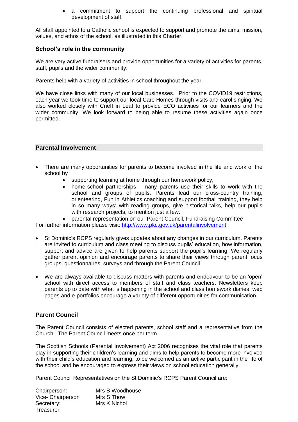• a commitment to support the continuing professional and spiritual development of staff.

All staff appointed to a Catholic school is expected to support and promote the aims, mission, values, and ethos of the school, as illustrated in this Charter.

## **School's role in the community**

We are very active fundraisers and provide opportunities for a variety of activities for parents, staff, pupils and the wider community.

Parents help with a variety of activities in school throughout the year.

We have close links with many of our local businesses. Prior to the COVID19 restrictions, each year we took time to support our local Care Homes through visits and carol singing. We also worked closely with Crieff in Leaf to provide ECO activities for our learners and the wider community. We look forward to being able to resume these activities again once permitted.

#### **Parental Involvement**

- There are many opportunities for parents to become involved in the life and work of the school by
	- supporting learning at home through our homework policy,
	- home-school partnerships many parents use their skills to work with the school and groups of pupils. Parents lead our cross-country training, orienteering, Fun in Athletics coaching and support football training, they help in so many ways: with reading groups, give historical talks, help our pupils with research projects, to mention just a few.
	- parental representation on our Parent Council, Fundraising Committee

For further information please visit:<http://www.pkc.gov.uk/parentalinvolvement>

- St Dominic's RCPS regularly gives updates about any changes in our curriculum. Parents are invited to curriculum and class meeting to discuss pupils' education, how information, support and advice are given to help parents support the pupil's learning. We regularly gather parent opinion and encourage parents to share their views through parent focus groups, questionnaires, surveys and through the Parent Council.
- We are always available to discuss matters with parents and endeavour to be an 'open' school with direct access to members of staff and class teachers. Newsletters keep parents up to date with what is happening in the school and class homework diaries, web pages and e-portfolios encourage a variety of different opportunities for communication.

## **Parent Council**

The Parent Council consists of elected parents, school staff and a representative from the Church. The Parent Council meets once per term.

The Scottish Schools (Parental Involvement) Act 2006 recognises the vital role that parents play in supporting their children's learning and aims to help parents to become more involved with their child's education and learning, to be welcomed as an active participant in the life of the school and be encouraged to express their views on school education generally.

Parent Council Representatives on the St Dominic's RCPS Parent Council are:

| Chairperson:      | Mrs B Woodhouse |
|-------------------|-----------------|
| Vice- Chairperson | Mrs S Thow      |
| Secretary:        | Mrs K Nichol    |
| Treasurer:        |                 |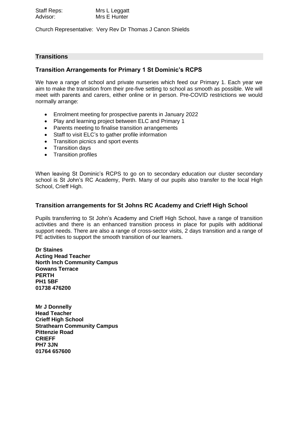| Staff Reps: | Mrs L Leggatt |
|-------------|---------------|
| Advisor:    | Mrs E Hunter  |

Church Representative: Very Rev Dr Thomas J Canon Shields

# **Transitions**

## **Transition Arrangements for Primary 1 St Dominic's RCPS**

We have a range of school and private nurseries which feed our Primary 1. Each year we aim to make the transition from their pre-five setting to school as smooth as possible. We will meet with parents and carers, either online or in person. Pre-COVID restrictions we would normally arrange:

- Enrolment meeting for prospective parents in January 2022
- Play and learning project between ELC and Primary 1
- Parents meeting to finalise transition arrangements
- Staff to visit ELC's to gather profile information
- Transition picnics and sport events
- Transition days
- Transition profiles

When leaving St Dominic's RCPS to go on to secondary education our cluster secondary school is St John's RC Academy, Perth. Many of our pupils also transfer to the local High School, Crieff High.

#### **Transition arrangements for St Johns RC Academy and Crieff High School**

Pupils transferring to St John's Academy and Crieff High School, have a range of transition activities and there is an enhanced transition process in place for pupils with additional support needs. There are also a range of cross-sector visits, 2 days transition and a range of PE activities to support the smooth transition of our learners.

**Dr Staines Acting Head Teacher North Inch Community Campus Gowans Terrace PERTH PH1 5BF 01738 476200**

**Mr J Donnelly Head Teacher Crieff High School Strathearn Community Campus Pittenzie Road CRIEFF PH7 3JN 01764 657600**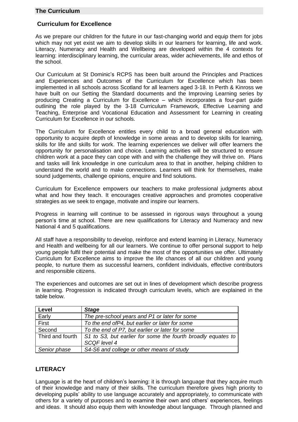## **The Curriculum**

## **Curriculum for Excellence**

As we prepare our children for the future in our fast-changing world and equip them for jobs which may not yet exist we aim to develop skills in our learners for learning, life and work. Literacy, Numeracy and Health and Wellbeing are developed within the 4 contexts for learning: interdisciplinary learning, the curricular areas, wider achievements, life and ethos of the school.

Our Curriculum at St Dominic's RCPS has been built around the Principles and Practices and Experiences and Outcomes of the Curriculum for Excellence which has been implemented in all schools across Scotland for all learners aged 3-18. In Perth & Kinross we have built on our Setting the Standard documents and the Improving Learning series by producing Creating a Curriculum for Excellence – which incorporates a four-part guide outlining the role played by the 3-18 Curriculum Framework, Effective Learning and Teaching, Enterprise and Vocational Education and Assessment for Learning in creating Curriculum for Excellence in our schools.

The Curriculum for Excellence entitles every child to a broad general education with opportunity to acquire depth of knowledge in some areas and to develop skills for learning, skills for life and skills for work. The learning experiences we deliver will offer learners the opportunity for personalisation and choice. Learning activities will be structured to ensure children work at a pace they can cope with and with the challenge they will thrive on. Plans and tasks will link knowledge in one curriculum area to that in another, helping children to understand the world and to make connections. Learners will think for themselves, make sound judgements, challenge opinions, enquire and find solutions.

Curriculum for Excellence empowers our teachers to make professional judgments about what and how they teach. It encourages creative approaches and promotes cooperative strategies as we seek to engage, motivate and inspire our learners.

Progress in learning will continue to be assessed in rigorous ways throughout a young person's time at school. There are new qualifications for Literacy and Numeracy and new National 4 and 5 qualifications.

All staff have a responsibility to develop, reinforce and extend learning in Literacy, Numeracy and Health and wellbeing for all our learners. We continue to offer personal support to help young people fulfil their potential and make the most of the opportunities we offer. Ultimately Curriculum for Excellence aims to improve the life chances of all our children and young people, to nurture them as successful learners, confident individuals, effective contributors and responsible citizens.

The experiences and outcomes are set out in lines of development which describe progress in learning. Progression is indicated through curriculum levels, which are explained in the table below.

| Level            | <b>Stage</b>                                                 |
|------------------|--------------------------------------------------------------|
| Early            | The pre-school years and P1 or later for some                |
| First            | To the end ofP4, but earlier or later for some               |
| Second           | To the end of P7, but earlier or later for some              |
| Third and fourth | S1 to S3, but earlier for some the fourth broadly equates to |
|                  | SCQF level 4                                                 |
| Senior phase     | S4-S6 and college or other means of study                    |

# **LITERACY**

Language is at the heart of children's learning: it is through language that they acquire much of their knowledge and many of their skills. The curriculum therefore gives high priority to developing pupils' ability to use language accurately and appropriately, to communicate with others for a variety of purposes and to examine their own and others' experiences, feelings and ideas. It should also equip them with knowledge about language. Through planned and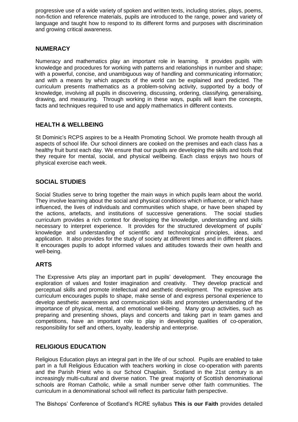progressive use of a wide variety of spoken and written texts, including stories, plays, poems, non-fiction and reference materials, pupils are introduced to the range, power and variety of language and taught how to respond to its different forms and purposes with discrimination and growing critical awareness.

# **NUMERACY**

Numeracy and mathematics play an important role in learning. It provides pupils with knowledge and procedures for working with patterns and relationships in number and shape; with a powerful, concise, and unambiguous way of handling and communicating information; and with a means by which aspects of the world can be explained and predicted. The curriculum presents mathematics as a problem-solving activity, supported by a body of knowledge, involving all pupils in discovering, discussing, ordering, classifying, generalising, drawing, and measuring. Through working in these ways, pupils will learn the concepts, facts and techniques required to use and apply mathematics in different contexts.

## **HEALTH & WELLBEING**

St Dominic's RCPS aspires to be a Health Promoting School. We promote health through all aspects of school life. Our school dinners are cooked on the premises and each class has a healthy fruit burst each day. We ensure that our pupils are developing the skills and tools that they require for mental, social, and physical wellbeing. Each class enjoys two hours of physical exercise each week.

## **SOCIAL STUDIES**

Social Studies serve to bring together the main ways in which pupils learn about the world. They involve learning about the social and physical conditions which influence, or which have influenced, the lives of individuals and communities which shape, or have been shaped by the actions, artefacts, and institutions of successive generations. The social studies curriculum provides a rich context for developing the knowledge, understanding and skills necessary to interpret experience. It provides for the structured development of pupils' knowledge and understanding of scientific and technological principles, ideas, and application. It also provides for the study of society at different times and in different places. It encourages pupils to adopt informed values and attitudes towards their own health and well-being.

## **ARTS**

The Expressive Arts play an important part in pupils' development. They encourage the exploration of values and foster imagination and creativity. They develop practical and perceptual skills and promote intellectual and aesthetic development. The expressive arts curriculum encourages pupils to shape, make sense of and express personal experience to develop aesthetic awareness and communication skills and promotes understanding of the importance of physical, mental, and emotional well-being. Many group activities, such as preparing and presenting shows, plays and concerts and taking part in team games and competitions, have an important role to play in developing qualities of co-operation, responsibility for self and others, loyalty, leadership and enterprise.

## **RELIGIOUS EDUCATION**

Religious Education plays an integral part in the life of our school. Pupils are enabled to take part in a full Religious Education with teachers working in close co-operation with parents and the Parish Priest who is our School Chaplain. Scotland in the 21st century is an increasingly multi-cultural and diverse nation. The great majority of Scottish denominational schools are Roman Catholic, while a small number serve other faith communities. The curriculum in a denominational school will reflect its particular faith perspective.

The Bishops' Conference of Scotland's RCRE syllabus **This is our Faith** provides detailed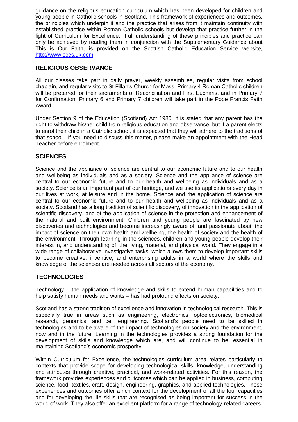guidance on the religious education curriculum which has been developed for children and young people in Catholic schools in Scotland. This framework of experiences and outcomes, the principles which underpin it and the practice that arises from it maintain continuity with established practice within Roman Catholic schools but develop that practice further in the light of Curriculum for Excellence. Full understanding of these principles and practice can only be achieved by reading them in conjunction with the Supplementary Guidance about This is Our Faith, is provided on the Scottish Catholic Education Service website, [http://www.sces.uk.com](http://www.sces.uk.com/)

## **RELIGIOUS OBSERVANCE**

All our classes take part in daily prayer, weekly assemblies, regular visits from school chaplain, and regular visits to St Fillan's Church for Mass. Primary 4 Roman Catholic children will be prepared for their sacraments of Reconciliation and First Eucharist and in Primary 7 for Confirmation. Primary 6 and Primary 7 children will take part in the Pope Francis Faith Award.

Under Section 9 of the Education (Scotland) Act 1980, it is stated that any parent has the right to withdraw his/her child from religious education and observance, but if a parent elects to enrol their child in a Catholic school, it is expected that they will adhere to the traditions of that school. If you need to discuss this matter, please make an appointment with the Head Teacher before enrolment.

# **SCIENCES**

Science and the appliance of science are central to our economic future and to our health and wellbeing as individuals and as a society. Science and the appliance of science are central to our economic future and to our health and wellbeing as individuals and as a society. Science is an important part of our heritage, and we use its applications every day in our lives at work, at leisure and in the home. Science and the application of science are central to our economic future and to our health and wellbeing as individuals and as a society. Scotland has a long tradition of scientific discovery, of innovation in the application of scientific discovery, and of the application of science in the protection and enhancement of the natural and built environment. Children and young people are fascinated by new discoveries and technologies and become increasingly aware of, and passionate about, the impact of science on their own health and wellbeing, the health of society and the health of the environment. Through learning in the sciences, children and young people develop their interest in, and understanding of, the living, material, and physical world. They engage in a wide range of collaborative investigative tasks, which allows them to develop important skills to become creative, inventive, and enterprising adults in a world where the skills and knowledge of the sciences are needed across all sectors of the economy.

## **TECHNOLOGIES**

Technology – the application of knowledge and skills to extend human capabilities and to help satisfy human needs and wants – has had profound effects on society.

Scotland has a strong tradition of excellence and innovation in technological research. This is especially true in areas such as engineering, electronics, optoelectronics, biomedical research, genomics, and cell engineering. Scotland's people need to be skilled in technologies and to be aware of the impact of technologies on society and the environment, now and in the future. Learning in the technologies provides a strong foundation for the development of skills and knowledge which are, and will continue to be, essential in maintaining Scotland's economic prosperity.

Within Curriculum for Excellence, the technologies curriculum area relates particularly to contexts that provide scope for developing technological skills, knowledge, understanding and attributes through creative, practical, and work-related activities. For this reason, the framework provides experiences and outcomes which can be applied in business, computing science, food, textiles, craft, design, engineering, graphics, and applied technologies. These experiences and outcomes offer a rich context for the development of all the four capacities and for developing the life skills that are recognised as being important for success in the world of work. They also offer an excellent platform for a range of technology-related careers.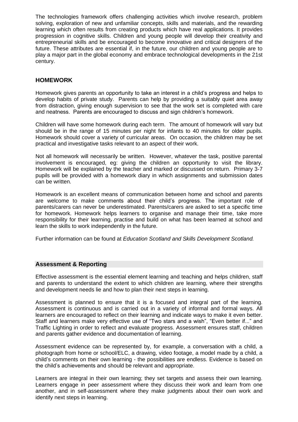The technologies framework offers challenging activities which involve research, problem solving, exploration of new and unfamiliar concepts, skills and materials, and the rewarding learning which often results from creating products which have real applications. It provides progression in cognitive skills. Children and young people will develop their creativity and entrepreneurial skills and be encouraged to become innovative and critical designers of the future. These attributes are essential if, in the future, our children and young people are to play a major part in the global economy and embrace technological developments in the 21st century.

# **HOMEWORK**

Homework gives parents an opportunity to take an interest in a child's progress and helps to develop habits of private study. Parents can help by providing a suitably quiet area away from distraction, giving enough supervision to see that the work set is completed with care and neatness. Parents are encouraged to discuss and sign children's homework.

Children will have some homework during each term. The amount of homework will vary but should be in the range of 15 minutes per night for infants to 40 minutes for older pupils. Homework should cover a variety of curricular areas. On occasion, the children may be set practical and investigative tasks relevant to an aspect of their work.

Not all homework will necessarily be written. However, whatever the task, positive parental involvement is encouraged, eg: giving the children an opportunity to visit the library. Homework will be explained by the teacher and marked or discussed on return. Primary 3-7 pupils will be provided with a homework diary in which assignments and submission dates can be written.

Homework is an excellent means of communication between home and school and parents are welcome to make comments about their child's progress. The important role of parents/carers can never be underestimated. Parents/carers are asked to set a specific time for homework. Homework helps learners to organise and manage their time, take more responsibility for their learning, practise and build on what has been learned at school and learn the skills to work independently in the future.

Further information can be found at *Education Scotland and Skills Development Scotland.*

## **Assessment & Reporting**

Effective assessment is the essential element learning and teaching and helps children, staff and parents to understand the extent to which children are learning, where their strengths and development needs lie and how to plan their next steps in learning.

Assessment is planned to ensure that it is a focused and integral part of the learning. Assessment is continuous and is carried out in a variety of informal and formal ways. All learners are encouraged to reflect on their learning and indicate ways to make it even better. Staff and learners make very effective use of "Two stars and a wish", "Even better if..." and Traffic Lighting in order to reflect and evaluate progress. Assessment ensures staff, children and parents gather evidence and documentation of learning.

Assessment evidence can be represented by, for example, a conversation with a child, a photograph from home or school/ELC, a drawing, video footage, a model made by a child, a child's comments on their own learning - the possibilities are endless. Evidence is based on the child's achievements and should be relevant and appropriate.

Learners are integral in their own learning; they set targets and assess their own learning. Learners engage in peer assessment where they discuss their work and learn from one another, and in self-assessment where they make judgments about their own work and identify next steps in learning.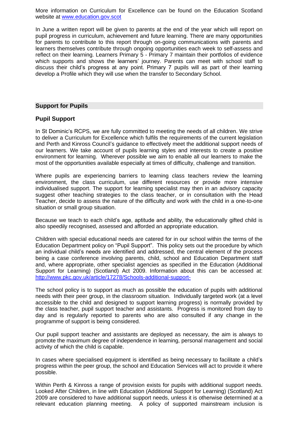More information on Curriculum for Excellence can be found on the Education Scotland website at [www.education.gov.scot](http://www.education.gov.scot/)

In June a written report will be given to parents at the end of the year which will report on pupil progress in curriculum, achievement and future learning. There are many opportunities for parents to contribute to this report through on-going communications with parents and learners themselves contribute through ongoing opportunities each week to self-assess and reflect on their learning. Learners Primary 5 - Primary 7 maintain their portfolios of evidence which supports and shows the learners' journey. Parents can meet with school staff to discuss their child's progress at any point. Primary 7 pupils will as part of their learning develop a Profile which they will use when the transfer to Secondary School.

#### **Support for Pupils**

#### **Pupil Support**

In St Dominic's RCPS, we are fully committed to meeting the needs of all children. We strive to deliver a Curriculum for Excellence which fulfils the requirements of the current legislation and Perth and Kinross Council's guidance to effectively meet the additional support needs of our learners. We take account of pupils learning styles and interests to create a positive environment for learning. Wherever possible we aim to enable all our learners to make the most of the opportunities available especially at times of difficulty, challenge and transition.

Where pupils are experiencing barriers to learning class teachers review the learning environment, the class curriculum, use different resources or provide more intensive individualised support. The support for learning specialist may then in an advisory capacity suggest other teaching strategies to the class teacher, or in consultation with the Head Teacher, decide to assess the nature of the difficulty and work with the child in a one-to-one situation or small group situation.

Because we teach to each child's age, aptitude and ability, the educationally gifted child is also speedily recognised, assessed and afforded an appropriate education.

Children with special educational needs are catered for in our school within the terms of the Education Department policy on "Pupil Support". This policy sets out the procedure by which an individual child's needs are identified and addressed, the central element of the process being a case conference involving parents, child, school and Education Department staff and, where appropriate, other specialist agencies as specified in the Education (Additional Support for Learning) (Scotland) Act 2009. Information about this can be accessed at: <http://www.pkc.gov.uk/article/17278/Schools-additional-support->

The school policy is to support as much as possible the education of pupils with additional needs with their peer group, in the classroom situation. Individually targeted work (at a level accessible to the child and designed to support learning progress) is normally provided by the class teacher, pupil support teacher and assistants. Progress is monitored from day to day and is regularly reported to parents who are also consulted if any change in the programme of support is being considered.

Our pupil support teacher and assistants are deployed as necessary, the aim is always to promote the maximum degree of independence in learning, personal management and social activity of which the child is capable.

In cases where specialised equipment is identified as being necessary to facilitate a child's progress within the peer group, the school and Education Services will act to provide it where possible.

Within Perth & Kinross a range of provision exists for pupils with additional support needs. Looked After Children, in line with Education (Additional Support for Learning) (Scotland) Act 2009 are considered to have additional support needs, unless it is otherwise determined at a relevant education planning meeting. A policy of supported mainstream inclusion is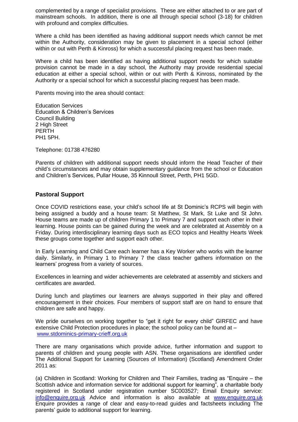complemented by a range of specialist provisions. These are either attached to or are part of mainstream schools. In addition, there is one all through special school (3-18) for children with profound and complex difficulties.

Where a child has been identified as having additional support needs which cannot be met within the Authority, consideration may be given to placement in a special school (either within or out with Perth & Kinross) for which a successful placing request has been made.

Where a child has been identified as having additional support needs for which suitable provision cannot be made in a day school, the Authority may provide residential special education at either a special school, within or out with Perth & Kinross, nominated by the Authority or a special school for which a successful placing request has been made.

Parents moving into the area should contact:

Education Services Education & Children's Services Council Building 2 High Street PERTH PH1 5PH.

Telephone: 01738 476280

Parents of children with additional support needs should inform the Head Teacher of their child's circumstances and may obtain supplementary guidance from the school or Education and Children's Services, Pullar House, 35 Kinnoull Street, Perth, PH1 5GD.

## **Pastoral Support**

Once COVID restrictions ease, your child's school life at St Dominic's RCPS will begin with being assigned a buddy and a house team: St Matthew, St Mark, St Luke and St John. House teams are made up of children Primary 1 to Primary 7 and support each other in their learning. House points can be gained during the week and are celebrated at Assembly on a Friday. During interdisciplinary learning days such as ECO topics and Healthy Hearts Week these groups come together and support each other.

In Early Learning and Child Care each learner has a Key Worker who works with the learner daily. Similarly, in Primary 1 to Primary 7 the class teacher gathers information on the learners' progress from a variety of sources.

Excellences in learning and wider achievements are celebrated at assembly and stickers and certificates are awarded.

During lunch and playtimes our learners are always supported in their play and offered encouragement in their choices. Four members of support staff are on hand to ensure that children are safe and happy.

We pride ourselves on working together to "get it right for every child" GIRFEC and have extensive Child Protection procedures in place; the school policy can be found at – [www.stdominics-primary-crieff.org.uk](http://www.stdominics-primary-crieff.org.uk/)

There are many organisations which provide advice, further information and support to parents of children and young people with ASN. These organisations are identified under The Additional Support for Learning (Sources of Information) (Scotland) Amendment Order 2011 as:

(a) Children in Scotland: Working for Children and Their Families, trading as "Enquire – the Scottish advice and information service for additional support for learning", a charitable body registered in Scotland under registration number SC003527; Email Enquiry service: [info@enquire.org.uk](mailto:info@enquire.org.uk) Advice and information is also available at [www.enquire.org.uk](http://www.enquire.org.uk/) Enquire provides a range of clear and easy-to-read guides and factsheets including The parents' guide to additional support for learning.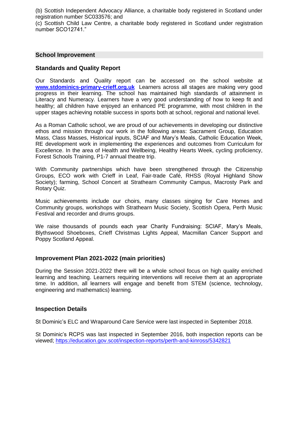(b) Scottish Independent Advocacy Alliance, a charitable body registered in Scotland under registration number SC033576; and

(c) Scottish Child Law Centre, a charitable body registered in Scotland under registration number SCO12741."

#### **School Improvement**

## **Standards and Quality Report**

Our Standards and Quality report can be accessed on the school website at **[www.stdominics-primary-crieff.org.uk](http://www.stdominics-primary-crieff.org.uk/)** Learners across all stages are making very good progress in their learning. The school has maintained high standards of attainment in Literacy and Numeracy. Learners have a very good understanding of how to keep fit and healthy; all children have enjoyed an enhanced PE programme, with most children in the upper stages achieving notable success in sports both at school, regional and national level.

As a Roman Catholic school, we are proud of our achievements in developing our distinctive ethos and mission through our work in the following areas: Sacrament Group, Education Mass, Class Masses, Historical inputs, SCIAF and Mary's Meals, Catholic Education Week, RE development work in implementing the experiences and outcomes from Curriculum for Excellence. In the area of Health and Wellbeing, Healthy Hearts Week, cycling proficiency, Forest Schools Training, P1-7 annual theatre trip.

With Community partnerships which have been strengthened through the Citizenship Groups, ECO work with Crieff in Leaf, Fair-trade Café, RHSS (Royal Highland Show Society); farming, School Concert at Strathearn Community Campus, Macrosty Park and Rotary Quiz.

Music achievements include our choirs, many classes singing for Care Homes and Community groups, workshops with Strathearn Music Society, Scottish Opera, Perth Music Festival and recorder and drums groups.

We raise thousands of pounds each year Charity Fundraising: SCIAF, Mary's Meals, Blythswood Shoeboxes, Crieff Christmas Lights Appeal, Macmillan Cancer Support and Poppy Scotland Appeal.

## **Improvement Plan 2021-2022 (main priorities)**

During the Session 2021-2022 there will be a whole school focus on high quality enriched learning and teaching. Learners requiring interventions will receive them at an appropriate time. In addition, all learners will engage and benefit from STEM (science, technology, engineering and mathematics) learning.

#### **Inspection Details**

St Dominic's ELC and Wraparound Care Service were last inspected in September 2018.

St Dominic's RCPS was last inspected in September 2016, both inspection reports can be viewed;<https://education.gov.scot/inspection-reports/perth-and-kinross/5342821>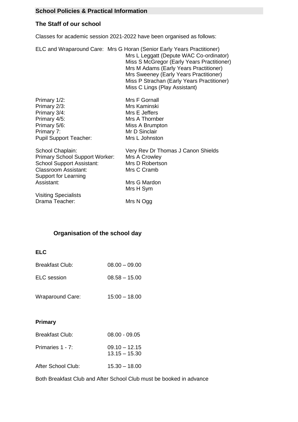# **School Policies & Practical Information**

# **The Staff of our school**

Classes for academic session 2021-2022 have been organised as follows:

ELC and Wraparound Care: Mrs G Horan (Senior Early Years Practitioner) Mrs L Leggatt (Depute WAC Co-ordinator) Miss S McGregor (Early Years Practitioner) Mrs M Adams (Early Years Practitioner) Mrs Sweeney (Early Years Practitioner) Miss P Strachan (Early Years Practitioner) Miss C Lings (Play Assistant)

| Primary 1/2:                          | Mrs F Gornall                      |
|---------------------------------------|------------------------------------|
| Primary 2/3:                          | Mrs Kaminski                       |
| Primary 3/4:                          | Mrs E Jeffers                      |
| Primary 4/5:                          | Mrs A Thornber                     |
| Primary 5/6:                          | Miss A Brumpton                    |
| Primary 7:                            | Mr D Sinclair                      |
| <b>Pupil Support Teacher:</b>         | Mrs L Johnston                     |
| School Chaplain:                      | Very Rev Dr Thomas J Canon Shields |
| <b>Primary School Support Worker:</b> | Mrs A Crowley                      |
| <b>School Support Assistant:</b>      | Mrs D Robertson                    |
| <b>Classroom Assistant:</b>           | Mrs C Cramb                        |
| Support for Learning                  |                                    |

Assistant: Mrs G Mardon Mrs H Sym

Drama Teacher: Mrs N Ogg

# **Organisation of the school day**

#### **ELC**

Visiting Specialists

| <b>Breakfast Club:</b>  | $08.00 - 09.00$ |
|-------------------------|-----------------|
| ELC session             | $08.58 - 15.00$ |
| <b>Wraparound Care:</b> | $15:00 - 18.00$ |

## **Primary**

| <b>Breakfast Club:</b> | $08.00 - 09.05$                    |
|------------------------|------------------------------------|
| Primaries 1 - 7:       | $09.10 - 12.15$<br>$13.15 - 15.30$ |
| After School Club:     | $15.30 - 18.00$                    |

Both Breakfast Club and After School Club must be booked in advance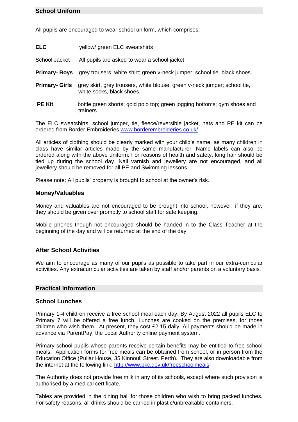# **School Uniform**

All pupils are encouraged to wear school uniform, which comprises:

| <b>ELC</b>     | yellow/green ELC sweatshirts                                                                           |
|----------------|--------------------------------------------------------------------------------------------------------|
| School Jacket  | All pupils are asked to wear a school jacket                                                           |
| Primary- Boys  | grey trousers, white shirt; green v-neck jumper; school tie, black shoes.                              |
| Primary- Girls | grey skirt, grey trousers, white blouse; green v-neck jumper; school tie,<br>white socks, black shoes. |
| <b>PE Kit</b>  | bottle green shorts; gold polo top; green jogging bottoms; gym shoes and<br>trainers                   |

The ELC sweatshirts, school jumper, tie, fleece/reversible jacket, hats and PE kit can be ordered from Border Embroideries [www.borderembroideries.co.uk/](http://www.borderembroideries.co.uk/)

All articles of clothing should be clearly marked with your child's name, as many children in class have similar articles made by the same manufacturer. Name labels can also be ordered along with the above uniform. For reasons of health and safety, long hair should be tied up during the school day. Nail varnish and jewellery are not encouraged, and all jewellery should be removed for all PE and Swimming lessons.

Please note: All pupils' property is brought to school at the owner's risk.

#### **Money/Valuables**

Money and valuables are not encouraged to be brought into school, however, if they are, they should be given over promptly to school staff for safe keeping.

Mobile phones though not encouraged should be handed in to the Class Teacher at the beginning of the day and will be returned at the end of the day.

## **After School Activities**

We aim to encourage as many of our pupils as possible to take part in our extra-curricular activities. Any extracurricular activities are taken by staff and/or parents on a voluntary basis.

#### **Practical Information**

#### **School Lunches**

Primary 1-4 children receive a free school meal each day. By August 2022 all pupils ELC to Primary 7 will be offered a free lunch. Lunches are cooked on the premises, for those children who wish them. At present, they cost £2.15 daily. All payments should be made in advance via ParentPay, the Local Authority online payment system.

Primary school pupils whose parents receive certain benefits may be entitled to free school meals. Application forms for free meals can be obtained from school, or in person from the Education Office (Pullar House, 35 Kinnoull Street. Perth). They are also downloadable from the internet at the following link: <http://www.pkc.gov.uk/freeschoolmeals>

The Authority does not provide free milk in any of its schools, except where such provision is authorised by a medical certificate.

Tables are provided in the dining hall for those children who wish to bring packed lunches. For safety reasons, all drinks should be carried in plastic/unbreakable containers.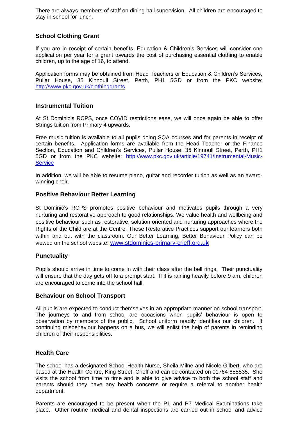There are always members of staff on dining hall supervision. All children are encouraged to stay in school for lunch.

# **School Clothing Grant**

If you are in receipt of certain benefits, Education & Children's Services will consider one application per year for a grant towards the cost of purchasing essential clothing to enable children, up to the age of 16, to attend.

Application forms may be obtained from Head Teachers or Education & Children's Services, Pullar House, 35 Kinnoull Street, Perth, PH1 5GD or from the PKC website: <http://www.pkc.gov.uk/clothinggrants>

## **Instrumental Tuition**

At St Dominic's RCPS, once COVID restrictions ease, we will once again be able to offer Strings tuition from Primary 4 upwards.

Free music tuition is available to all pupils doing SQA courses and for parents in receipt of certain benefits. Application forms are available from the Head Teacher or the Finance Section, Education and Children's Services, Pullar House, 35 Kinnoull Street, Perth, PH1 5GD or from the PKC website: [http://www.pkc.gov.uk/article/19741/Instrumental-Music-](http://www.pkc.gov.uk/article/19741/Instrumental-Music-Service)**[Service](http://www.pkc.gov.uk/article/19741/Instrumental-Music-Service)** 

In addition, we will be able to resume piano, guitar and recorder tuition as well as an awardwinning choir.

## **Positive Behaviour Better Learning**

St Dominic's RCPS promotes positive behaviour and motivates pupils through a very nurturing and restorative approach to good relationships. We value health and wellbeing and positive behaviour such as restorative, solution oriented and nurturing approaches where the Rights of the Child are at the Centre. These Restorative Practices support our learners both within and out with the classroom. Our Better Learning, Better Behaviour Policy can be viewed on the school website: [www.stdominics-primary-crieff.org.uk](http://www.stdominics-primary-crieff.org.uk/)

#### **Punctuality**

Pupils should arrive in time to come in with their class after the bell rings. Their punctuality will ensure that the day gets off to a prompt start. If it is raining heavily before 9 am, children are encouraged to come into the school hall.

#### **Behaviour on School Transport**

All pupils are expected to conduct themselves in an appropriate manner on school transport. The journeys to and from school are occasions when pupils' behaviour is open to observation by members of the public. School uniform readily identifies our children. If continuing misbehaviour happens on a bus, we will enlist the help of parents in reminding children of their responsibilities.

## **Health Care**

The school has a designated School Health Nurse, Sheila Milne and Nicole Gilbert, who are based at the Health Centre, King Street, Crieff and can be contacted on 01764 655535. She visits the school from time to time and is able to give advice to both the school staff and parents should they have any health concerns or require a referral to another health department.

Parents are encouraged to be present when the P1 and P7 Medical Examinations take place. Other routine medical and dental inspections are carried out in school and advice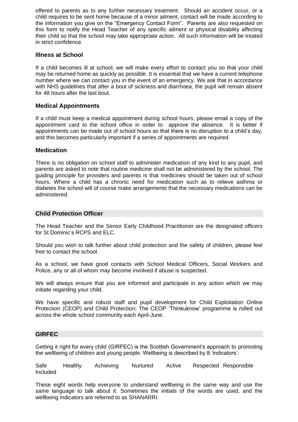offered to parents as to any further necessary treatment. Should an accident occur, or a child requires to be sent home because of a minor ailment, contact will be made according to the information you give on the "Emergency Contact Form". Parents are also requested on this form to notify the Head Teacher of any specific ailment or physical disability affecting their child so that the school may take appropriate action. All such information will be treated in strict confidence.

## **Illness at School**

If a child becomes ill at school, we will make every effort to contact you so that your child may be returned home as quickly as possible. It is essential that we have a current telephone number where we can contact you in the event of an emergency. We ask that in accordance with NHS guidelines that after a bout of sickness and diarrhoea, the pupil will remain absent for 48 hours after the last bout.

#### **Medical Appointments**

If a child must keep a medical appointment during school hours, please email a copy of the appointment card to the school office in order to approve the absence. It is better if appointments can be made out of school hours so that there is no disruption to a child's day, and this becomes particularly important if a series of appointments are required.

#### **Medication**

There is no obligation on school staff to administer medication of any kind to any pupil, and parents are asked to note that routine medicine shall not be administered by the school. The guiding principle for providers and parents is that medicines should be taken out of school hours. Where a child has a chronic need for medication such as to relieve asthma or diabetes the school will of course make arrangements that the necessary medications can be administered.

#### **Child Protection Officer**

The Head Teacher and the Senior Early Childhood Practitioner are the designated officers for St Dominic's RCPS and ELC.

Should you wish to talk further about child protection and the safety of children, please feel free to contact the school.

As a school, we have good contacts with School Medical Officers, Social Workers and Police, any or all of whom may become involved if abuse is suspected.

We will always ensure that you are informed and participate in any action which we may initiate regarding your child.

We have specific and robust staff and pupil development for Child Exploitation Online Protection (CEOP) and Child Protection; The CEOP 'Thinkuknow' programme is rolled out across the whole school community each April-June.

#### **GIRFEC**

Getting it right for every child (GIRFEC) is the Scottish Government's approach to promoting the wellbeing of children and young people. Wellbeing is described by 8 'indicators':

Safe Healthy Achieving Nurtured Active Respected Responsible Included

These eight words help everyone to understand wellbeing in the same way and use the same language to talk about it. Sometimes the initials of the words are used, and the wellbeing indicators are referred to as SHANARRI.